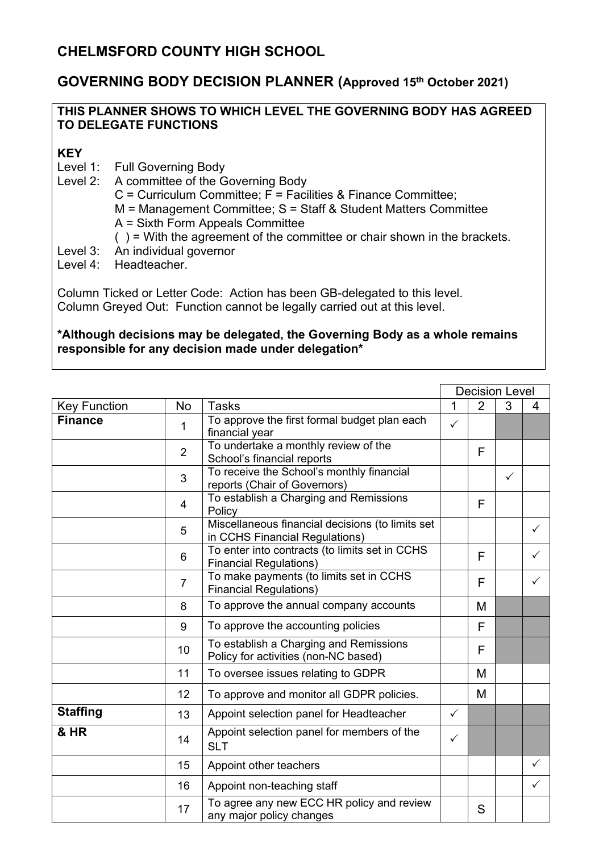## **GOVERNING BODY DECISION PLANNER (Approved 15 th October 2021)**

## **THIS PLANNER SHOWS TO WHICH LEVEL THE GOVERNING BODY HAS AGREED TO DELEGATE FUNCTIONS**

## **KEY**

- Level 1: Full Governing Body
- Level 2: A committee of the Governing Body
	- $C =$  Curriculum Committee;  $\overline{F} =$  Facilities & Finance Committee;
	- M = Management Committee; S = Staff & Student Matters Committee
	- A = Sixth Form Appeals Committee
	- $( )$  = With the agreement of the committee or chair shown in the brackets.
- Level 3: An individual governor
- Level 4: Headteacher.

Column Ticked or Letter Code: Action has been GB-delegated to this level. Column Greyed Out: Function cannot be legally carried out at this level.

## **\*Although decisions may be delegated, the Governing Body as a whole remains responsible for any decision made under delegation\***

|                     |                |                                                                                    | <b>Decision Level</b> |   |              |              |
|---------------------|----------------|------------------------------------------------------------------------------------|-----------------------|---|--------------|--------------|
| <b>Key Function</b> | <b>No</b>      | <b>Tasks</b>                                                                       | 1                     | 2 | 3            | 4            |
| <b>Finance</b>      | 1              | To approve the first formal budget plan each<br>financial year                     | $\checkmark$          |   |              |              |
|                     | $\overline{2}$ | To undertake a monthly review of the<br>School's financial reports                 |                       | F |              |              |
|                     | 3              | To receive the School's monthly financial<br>reports (Chair of Governors)          |                       |   | $\checkmark$ |              |
|                     | $\overline{4}$ | To establish a Charging and Remissions<br>Policy                                   |                       | F |              |              |
|                     | 5              | Miscellaneous financial decisions (to limits set<br>in CCHS Financial Regulations) |                       |   |              | ✓            |
|                     | 6              | To enter into contracts (to limits set in CCHS<br><b>Financial Regulations)</b>    |                       | F |              | ✓            |
|                     | $\overline{7}$ | To make payments (to limits set in CCHS<br><b>Financial Regulations)</b>           |                       | F |              |              |
|                     | 8              | To approve the annual company accounts                                             |                       | M |              |              |
|                     | 9              | To approve the accounting policies                                                 |                       | F |              |              |
|                     | 10             | To establish a Charging and Remissions<br>Policy for activities (non-NC based)     |                       | F |              |              |
|                     | 11             | To oversee issues relating to GDPR                                                 |                       | M |              |              |
|                     | 12             | To approve and monitor all GDPR policies.                                          |                       | M |              |              |
| <b>Staffing</b>     | 13             | Appoint selection panel for Headteacher                                            | $\checkmark$          |   |              |              |
| & HR                | 14             | Appoint selection panel for members of the<br><b>SLT</b>                           | $\checkmark$          |   |              |              |
|                     | 15             | Appoint other teachers                                                             |                       |   |              | ✓            |
|                     | 16             | Appoint non-teaching staff                                                         |                       |   |              | $\checkmark$ |
|                     | 17             | To agree any new ECC HR policy and review<br>any major policy changes              |                       | S |              |              |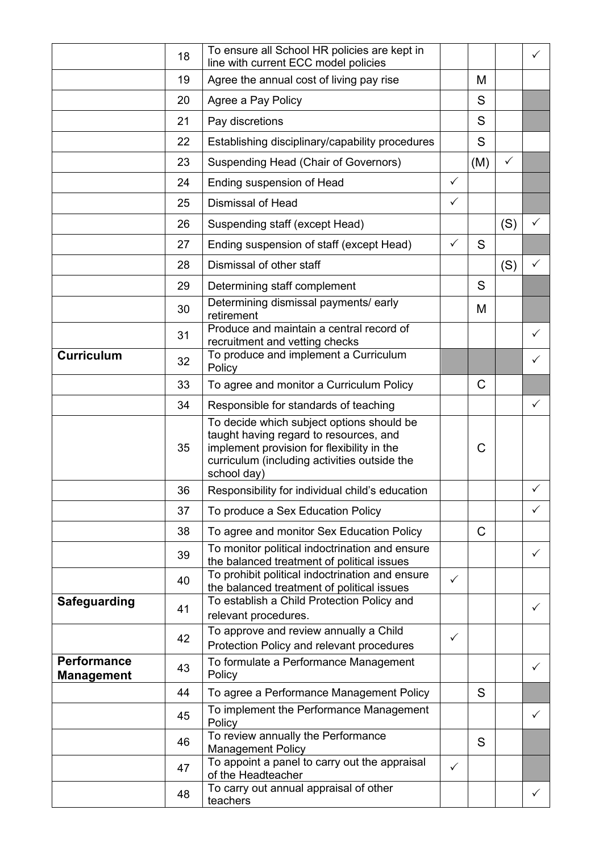|                                         | 18 | To ensure all School HR policies are kept in<br>line with current ECC model policies                                                                                                             |              |              |              | $\checkmark$ |
|-----------------------------------------|----|--------------------------------------------------------------------------------------------------------------------------------------------------------------------------------------------------|--------------|--------------|--------------|--------------|
|                                         | 19 | Agree the annual cost of living pay rise                                                                                                                                                         |              | M            |              |              |
|                                         | 20 | Agree a Pay Policy                                                                                                                                                                               |              | S            |              |              |
|                                         | 21 | Pay discretions                                                                                                                                                                                  |              | S            |              |              |
|                                         | 22 | Establishing disciplinary/capability procedures                                                                                                                                                  |              | S            |              |              |
|                                         | 23 | Suspending Head (Chair of Governors)                                                                                                                                                             |              | (M)          | $\checkmark$ |              |
|                                         | 24 | Ending suspension of Head                                                                                                                                                                        | $\checkmark$ |              |              |              |
|                                         | 25 | <b>Dismissal of Head</b>                                                                                                                                                                         | $\checkmark$ |              |              |              |
|                                         | 26 | Suspending staff (except Head)                                                                                                                                                                   |              |              | (S)          | ✓            |
|                                         | 27 | Ending suspension of staff (except Head)                                                                                                                                                         | $\checkmark$ | S            |              |              |
|                                         | 28 | Dismissal of other staff                                                                                                                                                                         |              |              | (S)          | $\checkmark$ |
|                                         | 29 | Determining staff complement                                                                                                                                                                     |              | S            |              |              |
|                                         | 30 | Determining dismissal payments/ early<br>retirement                                                                                                                                              |              | M            |              |              |
|                                         | 31 | Produce and maintain a central record of<br>recruitment and vetting checks                                                                                                                       |              |              |              | $\checkmark$ |
| <b>Curriculum</b>                       | 32 | To produce and implement a Curriculum<br>Policy                                                                                                                                                  |              |              |              | $\checkmark$ |
|                                         | 33 | To agree and monitor a Curriculum Policy                                                                                                                                                         |              | C            |              |              |
|                                         | 34 | Responsible for standards of teaching                                                                                                                                                            |              |              |              | $\checkmark$ |
|                                         | 35 | To decide which subject options should be<br>taught having regard to resources, and<br>implement provision for flexibility in the<br>curriculum (including activities outside the<br>school day) |              | C            |              |              |
|                                         | 36 | Responsibility for individual child's education                                                                                                                                                  |              |              |              | $\checkmark$ |
|                                         | 37 | To produce a Sex Education Policy                                                                                                                                                                |              |              |              | $\checkmark$ |
|                                         | 38 | To agree and monitor Sex Education Policy                                                                                                                                                        |              | $\mathsf{C}$ |              |              |
|                                         | 39 | To monitor political indoctrination and ensure<br>the balanced treatment of political issues                                                                                                     |              |              |              | $\checkmark$ |
|                                         | 40 | To prohibit political indoctrination and ensure                                                                                                                                                  | $\checkmark$ |              |              |              |
| <b>Safeguarding</b>                     |    | the balanced treatment of political issues<br>To establish a Child Protection Policy and                                                                                                         |              |              |              |              |
|                                         | 41 | relevant procedures.                                                                                                                                                                             |              |              |              | $\checkmark$ |
|                                         | 42 | To approve and review annually a Child<br>Protection Policy and relevant procedures                                                                                                              | $\checkmark$ |              |              |              |
| <b>Performance</b><br><b>Management</b> | 43 | To formulate a Performance Management<br>Policy                                                                                                                                                  |              |              |              | $\checkmark$ |
|                                         | 44 | To agree a Performance Management Policy                                                                                                                                                         |              | S            |              |              |
|                                         | 45 | To implement the Performance Management<br>Policy                                                                                                                                                |              |              |              | $\checkmark$ |
|                                         | 46 | To review annually the Performance<br><b>Management Policy</b>                                                                                                                                   |              | S            |              |              |
|                                         | 47 | To appoint a panel to carry out the appraisal<br>of the Headteacher                                                                                                                              | $\checkmark$ |              |              |              |
|                                         | 48 | To carry out annual appraisal of other<br>teachers                                                                                                                                               |              |              |              | $\checkmark$ |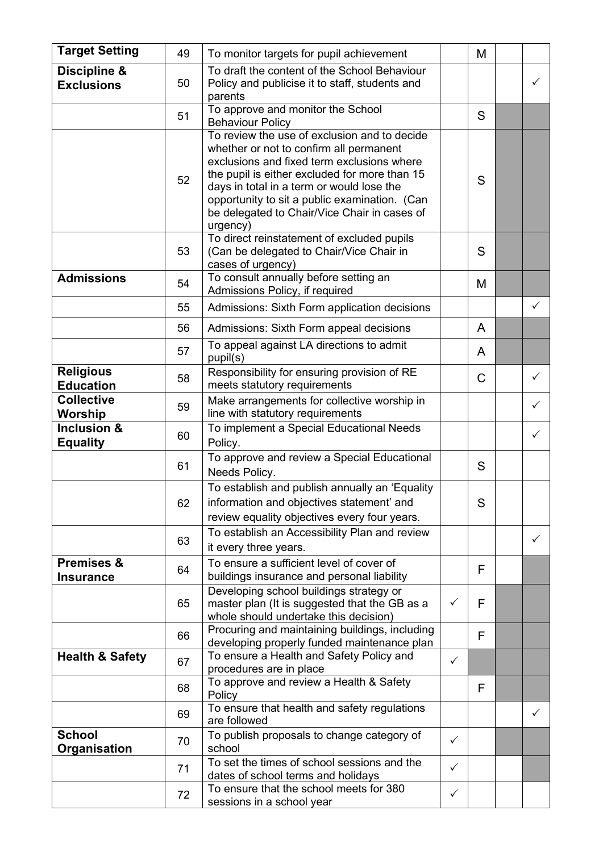| <b>Target Setting</b>                     | 49 | To monitor targets for pupil achievement                                                                                                                                                                                                                                                                                                         |              | M |              |
|-------------------------------------------|----|--------------------------------------------------------------------------------------------------------------------------------------------------------------------------------------------------------------------------------------------------------------------------------------------------------------------------------------------------|--------------|---|--------------|
| Discipline &<br><b>Exclusions</b>         | 50 | To draft the content of the School Behaviour<br>Policy and publicise it to staff, students and<br>parents                                                                                                                                                                                                                                        |              |   | ✓            |
|                                           | 51 | To approve and monitor the School<br><b>Behaviour Policy</b>                                                                                                                                                                                                                                                                                     |              | S |              |
|                                           | 52 | To review the use of exclusion and to decide<br>whether or not to confirm all permanent<br>exclusions and fixed term exclusions where<br>the pupil is either excluded for more than 15<br>days in total in a term or would lose the<br>opportunity to sit a public examination. (Can<br>be delegated to Chair/Vice Chair in cases of<br>urgency) |              | S |              |
|                                           | 53 | To direct reinstatement of excluded pupils<br>(Can be delegated to Chair/Vice Chair in<br>cases of urgency)                                                                                                                                                                                                                                      |              | S |              |
| <b>Admissions</b>                         | 54 | To consult annually before setting an<br>Admissions Policy, if required                                                                                                                                                                                                                                                                          |              | M |              |
|                                           | 55 | Admissions: Sixth Form application decisions                                                                                                                                                                                                                                                                                                     |              |   | $\checkmark$ |
|                                           | 56 | Admissions: Sixth Form appeal decisions                                                                                                                                                                                                                                                                                                          |              | A |              |
|                                           | 57 | To appeal against LA directions to admit<br>pupil(s)                                                                                                                                                                                                                                                                                             |              | A |              |
| <b>Religious</b><br><b>Education</b>      | 58 | Responsibility for ensuring provision of RE<br>meets statutory requirements                                                                                                                                                                                                                                                                      |              | C | ✓            |
| <b>Collective</b><br>Worship              | 59 | Make arrangements for collective worship in<br>line with statutory requirements                                                                                                                                                                                                                                                                  |              |   | ✓            |
| Inclusion &<br><b>Equality</b>            | 60 | To implement a Special Educational Needs<br>Policy.                                                                                                                                                                                                                                                                                              |              |   | ✓            |
|                                           | 61 | To approve and review a Special Educational<br>Needs Policy.                                                                                                                                                                                                                                                                                     |              | S |              |
|                                           | 62 | To establish and publish annually an 'Equality<br>information and objectives statement' and<br>review equality objectives every four years.                                                                                                                                                                                                      |              | S |              |
|                                           | 63 | To establish an Accessibility Plan and review<br>it every three years.                                                                                                                                                                                                                                                                           |              |   | ✓            |
| <b>Premises &amp;</b><br><b>Insurance</b> | 64 | To ensure a sufficient level of cover of<br>buildings insurance and personal liability                                                                                                                                                                                                                                                           |              | F |              |
|                                           | 65 | Developing school buildings strategy or<br>master plan (It is suggested that the GB as a<br>whole should undertake this decision)                                                                                                                                                                                                                | ✓            | F |              |
|                                           | 66 | Procuring and maintaining buildings, including<br>developing properly funded maintenance plan                                                                                                                                                                                                                                                    |              | F |              |
| <b>Health &amp; Safety</b>                | 67 | To ensure a Health and Safety Policy and<br>procedures are in place                                                                                                                                                                                                                                                                              | $\checkmark$ |   |              |
|                                           | 68 | To approve and review a Health & Safety<br>Policy                                                                                                                                                                                                                                                                                                |              | F |              |
|                                           | 69 | To ensure that health and safety regulations<br>are followed                                                                                                                                                                                                                                                                                     |              |   | $\checkmark$ |
| <b>School</b><br>Organisation             | 70 | To publish proposals to change category of<br>school                                                                                                                                                                                                                                                                                             | $\checkmark$ |   |              |
|                                           | 71 | To set the times of school sessions and the<br>dates of school terms and holidays                                                                                                                                                                                                                                                                | $\checkmark$ |   |              |
|                                           | 72 | To ensure that the school meets for 380<br>sessions in a school year                                                                                                                                                                                                                                                                             | ✓            |   |              |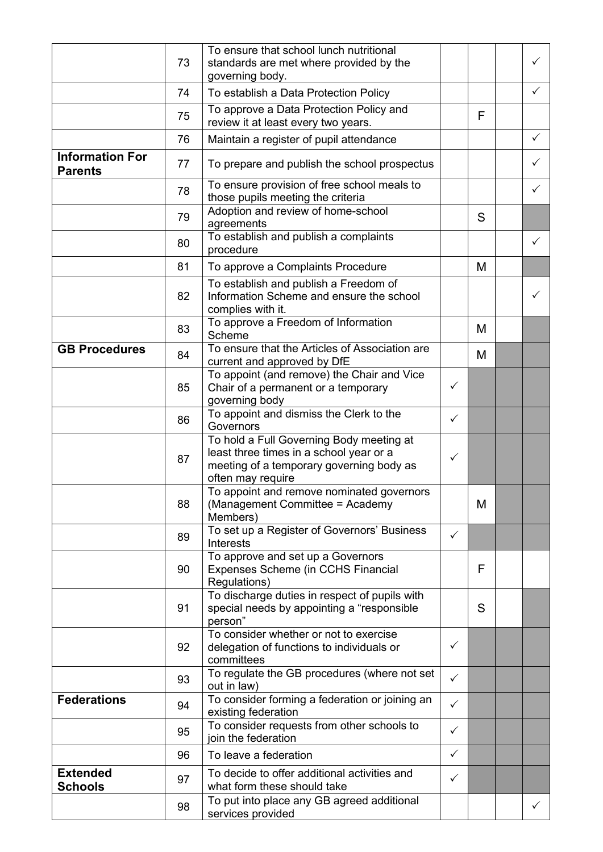|                                          | 73 | To ensure that school lunch nutritional<br>standards are met where provided by the<br>governing body.                                                |              |   | $\checkmark$ |
|------------------------------------------|----|------------------------------------------------------------------------------------------------------------------------------------------------------|--------------|---|--------------|
|                                          | 74 | To establish a Data Protection Policy                                                                                                                |              |   | $\checkmark$ |
|                                          | 75 | To approve a Data Protection Policy and<br>review it at least every two years.                                                                       |              | F |              |
|                                          | 76 | Maintain a register of pupil attendance                                                                                                              |              |   | $\checkmark$ |
| <b>Information For</b><br><b>Parents</b> | 77 | To prepare and publish the school prospectus                                                                                                         |              |   | ✓            |
|                                          | 78 | To ensure provision of free school meals to<br>those pupils meeting the criteria                                                                     |              |   | $\checkmark$ |
|                                          | 79 | Adoption and review of home-school<br>agreements                                                                                                     |              | S |              |
|                                          | 80 | To establish and publish a complaints<br>procedure                                                                                                   |              |   | $\checkmark$ |
|                                          | 81 | To approve a Complaints Procedure                                                                                                                    |              | M |              |
|                                          | 82 | To establish and publish a Freedom of<br>Information Scheme and ensure the school<br>complies with it.                                               |              |   | ✓            |
|                                          | 83 | To approve a Freedom of Information<br>Scheme                                                                                                        |              | М |              |
| <b>GB Procedures</b>                     | 84 | To ensure that the Articles of Association are<br>current and approved by DfE                                                                        |              | М |              |
|                                          | 85 | To appoint (and remove) the Chair and Vice<br>Chair of a permanent or a temporary<br>governing body                                                  | $\checkmark$ |   |              |
|                                          | 86 | To appoint and dismiss the Clerk to the<br>Governors                                                                                                 | $\checkmark$ |   |              |
|                                          | 87 | To hold a Full Governing Body meeting at<br>least three times in a school year or a<br>meeting of a temporary governing body as<br>often may require | $\checkmark$ |   |              |
|                                          | 88 | To appoint and remove nominated governors<br>(Management Committee = Academy<br>Members)                                                             |              | M |              |
|                                          | 89 | To set up a Register of Governors' Business<br>Interests                                                                                             | $\checkmark$ |   |              |
|                                          | 90 | To approve and set up a Governors<br>Expenses Scheme (in CCHS Financial<br>Regulations)                                                              |              | F |              |
|                                          | 91 | To discharge duties in respect of pupils with<br>special needs by appointing a "responsible<br>person"                                               |              | S |              |
|                                          | 92 | To consider whether or not to exercise<br>delegation of functions to individuals or<br>committees                                                    | $\checkmark$ |   |              |
|                                          | 93 | To regulate the GB procedures (where not set<br>out in law)                                                                                          | $\checkmark$ |   |              |
| <b>Federations</b>                       | 94 | To consider forming a federation or joining an<br>existing federation                                                                                | $\checkmark$ |   |              |
|                                          | 95 | To consider requests from other schools to<br>join the federation                                                                                    | $\checkmark$ |   |              |
|                                          | 96 | To leave a federation                                                                                                                                | $\checkmark$ |   |              |
| <b>Extended</b><br><b>Schools</b>        | 97 | To decide to offer additional activities and<br>what form these should take                                                                          | $\checkmark$ |   |              |
|                                          | 98 | To put into place any GB agreed additional<br>services provided                                                                                      |              |   | $\checkmark$ |